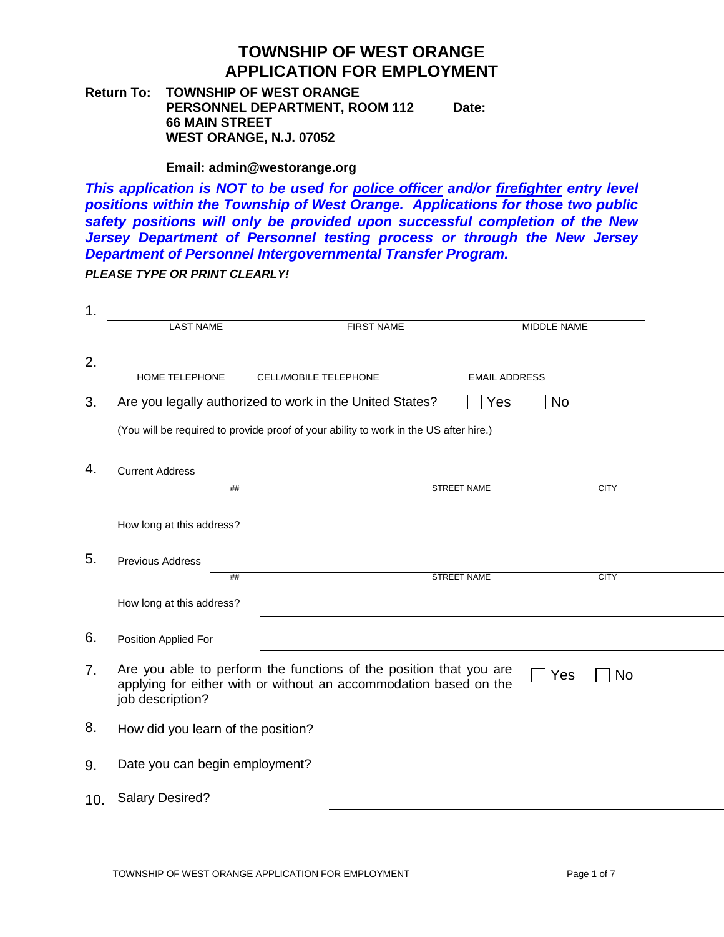**Return To: TOWNSHIP OF WEST ORANGE PERSONNEL DEPARTMENT, ROOM 112 66 MAIN STREET WEST ORANGE, N.J. 07052 Date:**

#### **Email: admin@westorange.org**

*This application is NOT to be used for police officer and/or firefighter entry level positions within the Township of West Orange. Applications for those two public safety positions will only be provided upon successful completion of the New Jersey Department of Personnel testing process or through the New Jersey Department of Personnel Intergovernmental Transfer Program.*

*PLEASE TYPE OR PRINT CLEARLY!*

| <b>LAST NAME</b><br><b>FIRST NAME</b><br>MIDDLE NAME<br>HOME TELEPHONE<br><b>EMAIL ADDRESS</b><br>CELL/MOBILE TELEPHONE<br>Are you legally authorized to work in the United States?<br>Yes<br><b>No</b> |
|---------------------------------------------------------------------------------------------------------------------------------------------------------------------------------------------------------|
|                                                                                                                                                                                                         |
|                                                                                                                                                                                                         |
|                                                                                                                                                                                                         |
|                                                                                                                                                                                                         |
| (You will be required to provide proof of your ability to work in the US after hire.)                                                                                                                   |
| <b>Current Address</b>                                                                                                                                                                                  |
| <b>STREET NAME</b><br><b>CITY</b><br>##                                                                                                                                                                 |
| How long at this address?                                                                                                                                                                               |
| Previous Address                                                                                                                                                                                        |
| <b>STREET NAME</b><br><b>CITY</b><br>##                                                                                                                                                                 |
| How long at this address?                                                                                                                                                                               |
| Position Applied For                                                                                                                                                                                    |
| Are you able to perform the functions of the position that you are<br>Yes<br><b>No</b><br>applying for either with or without an accommodation based on the<br>job description?                         |
| How did you learn of the position?                                                                                                                                                                      |
| Date you can begin employment?                                                                                                                                                                          |
| <b>Salary Desired?</b><br>10.                                                                                                                                                                           |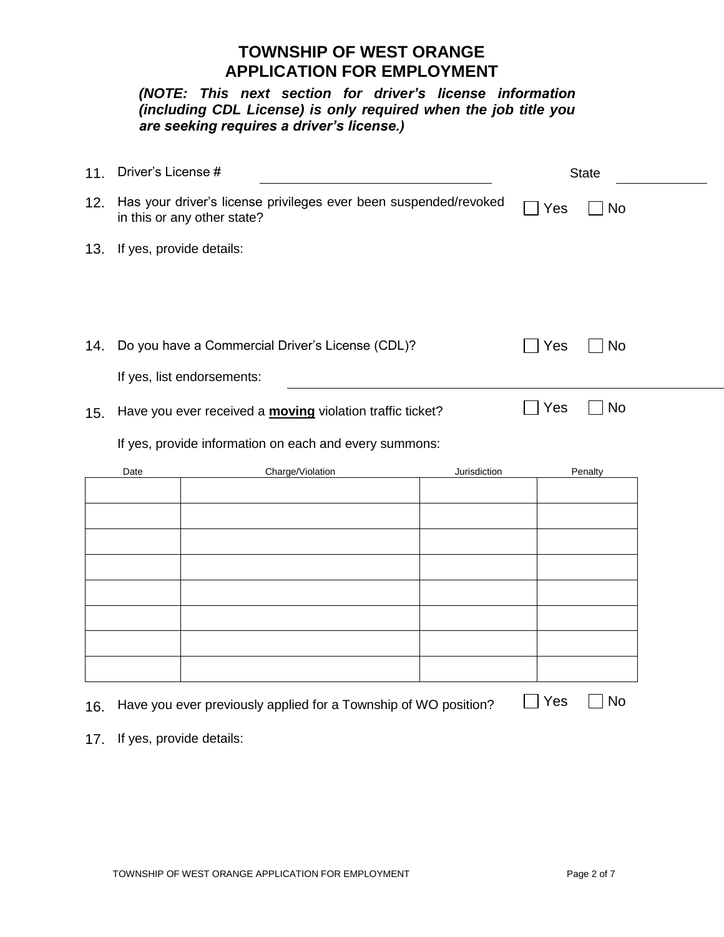*(NOTE: This next section for driver's license information (including CDL License) is only required when the job title you are seeking requires a driver's license.)*

| 11. | Driver's License #                                                                              |                                                                 |              |     | <b>State</b> |
|-----|-------------------------------------------------------------------------------------------------|-----------------------------------------------------------------|--------------|-----|--------------|
| 12. | Has your driver's license privileges ever been suspended/revoked<br>in this or any other state? |                                                                 |              | Yes | <b>No</b>    |
| 13. | If yes, provide details:                                                                        |                                                                 |              |     |              |
|     |                                                                                                 |                                                                 |              |     |              |
| 14. | Do you have a Commercial Driver's License (CDL)?                                                |                                                                 |              | Yes | <b>No</b>    |
|     |                                                                                                 | If yes, list endorsements:                                      |              |     |              |
| 15. | Have you ever received a <b>moving</b> violation traffic ticket?                                |                                                                 |              | Yes | No           |
|     | If yes, provide information on each and every summons:                                          |                                                                 |              |     |              |
|     | Date                                                                                            | Charge/Violation                                                | Jurisdiction |     | Penalty      |
|     |                                                                                                 |                                                                 |              |     |              |
|     |                                                                                                 |                                                                 |              |     |              |
|     |                                                                                                 |                                                                 |              |     |              |
|     |                                                                                                 |                                                                 |              |     |              |
|     |                                                                                                 |                                                                 |              |     |              |
|     |                                                                                                 |                                                                 |              |     |              |
|     |                                                                                                 |                                                                 |              |     |              |
| 16. |                                                                                                 | Have you ever previously applied for a Township of WO position? |              | Yes | No           |

17. If yes, provide details: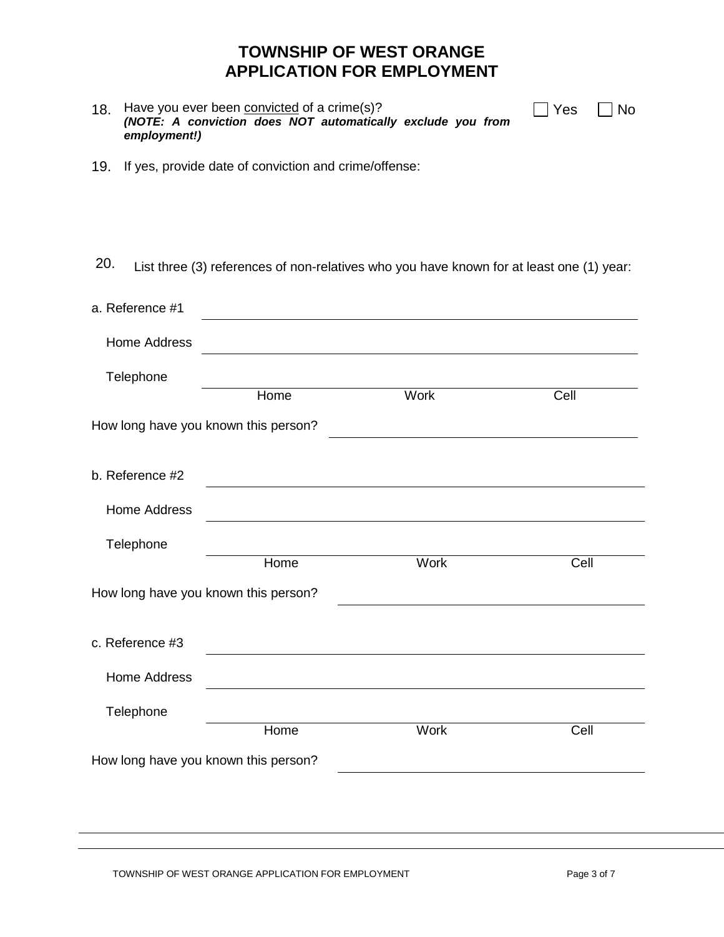| 18. | Have you ever been convicted of a crime(s)?                 |  |  |  |  |  |
|-----|-------------------------------------------------------------|--|--|--|--|--|
|     | (NOTE: A conviction does NOT automatically exclude you from |  |  |  |  |  |
|     | employment!)                                                |  |  |  |  |  |

| Yes |  | No |
|-----|--|----|
|-----|--|----|

 $\Box$ 

19. If yes, provide date of conviction and crime/offense:

20. List three (3) references of non-relatives who you have known for at least one (1) year:

| a. Reference #1                      |                                      |             |      |  |
|--------------------------------------|--------------------------------------|-------------|------|--|
| <b>Home Address</b>                  |                                      |             |      |  |
| Telephone                            |                                      |             |      |  |
|                                      | Home                                 | <b>Work</b> | Cell |  |
|                                      | How long have you known this person? |             |      |  |
| b. Reference #2                      |                                      |             |      |  |
| <b>Home Address</b>                  |                                      |             |      |  |
| Telephone                            |                                      |             |      |  |
|                                      | Home                                 | <b>Work</b> | Cell |  |
| How long have you known this person? |                                      |             |      |  |
| c. Reference #3                      |                                      |             |      |  |
| <b>Home Address</b>                  |                                      |             |      |  |
| Telephone                            |                                      |             |      |  |
|                                      | Home                                 | Work        | Cell |  |
| How long have you known this person? |                                      |             |      |  |
|                                      |                                      |             |      |  |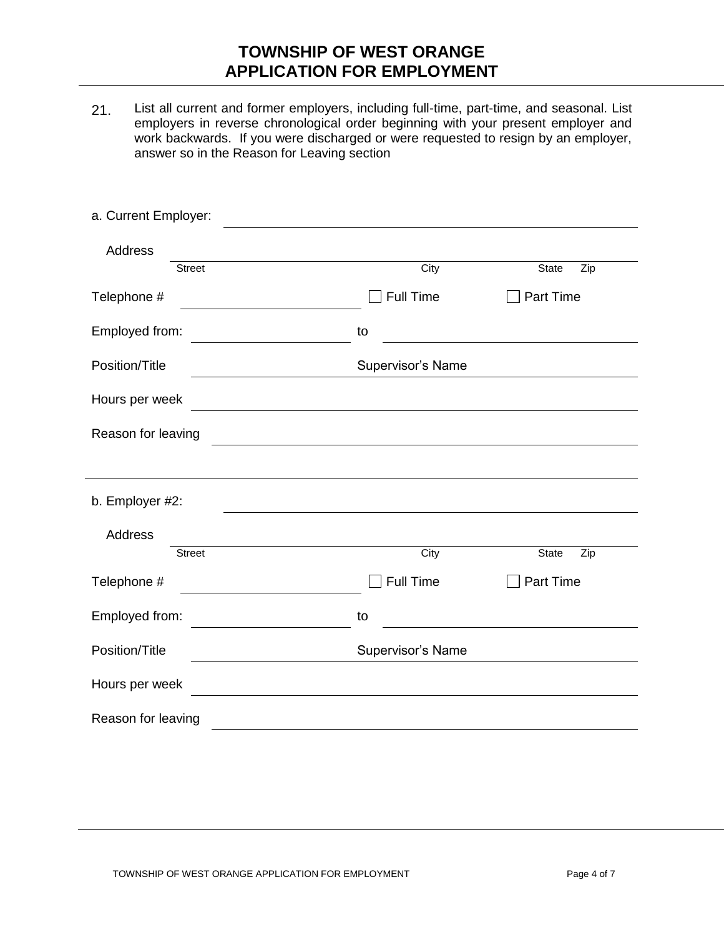21. List all current and former employers, including full-time, part-time, and seasonal. List employers in reverse chronological order beginning with your present employer and work backwards. If you were discharged or were requested to resign by an employer, answer so in the Reason for Leaving section

| a. Current Employer:                                      |                   |                                   |  |
|-----------------------------------------------------------|-------------------|-----------------------------------|--|
| <b>Address</b>                                            |                   |                                   |  |
| <b>Street</b>                                             | City              | <b>State</b><br>Zip               |  |
| Telephone #                                               | <b>Full Time</b>  | Part Time                         |  |
| Employed from:                                            | to                |                                   |  |
| Position/Title                                            | Supervisor's Name |                                   |  |
| Hours per week                                            |                   |                                   |  |
| Reason for leaving                                        |                   |                                   |  |
|                                                           |                   |                                   |  |
| b. Employer #2:                                           |                   |                                   |  |
| Address                                                   |                   |                                   |  |
| <b>Street</b>                                             | City              | $\overline{Z}$ ip<br><b>State</b> |  |
| Telephone #                                               | <b>Full Time</b>  | <b>Part Time</b>                  |  |
| Employed from:                                            | to                |                                   |  |
| Position/Title                                            | Supervisor's Name |                                   |  |
| Hours per week<br><u> 1989 - Johann Barbara, martin a</u> |                   |                                   |  |
| Reason for leaving                                        |                   |                                   |  |
|                                                           |                   |                                   |  |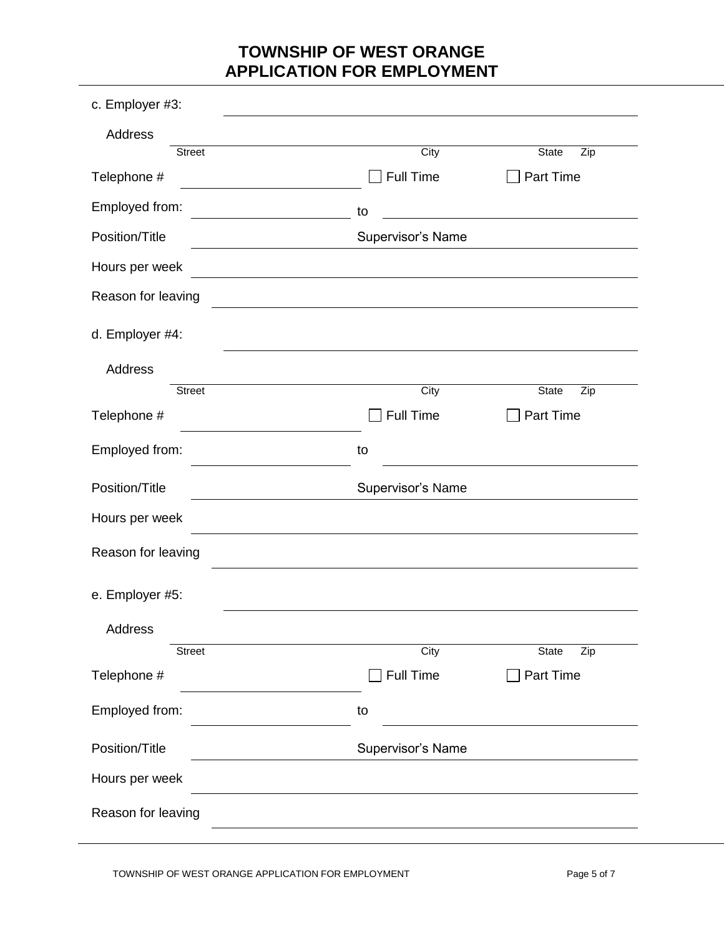| c. Employer #3:    |                   |              |  |  |
|--------------------|-------------------|--------------|--|--|
| <b>Address</b>     |                   |              |  |  |
| <b>Street</b>      | City              | State<br>Zip |  |  |
| Telephone #        | Full Time         | Part Time    |  |  |
| Employed from:     | to                |              |  |  |
| Position/Title     | Supervisor's Name |              |  |  |
| Hours per week     |                   |              |  |  |
| Reason for leaving |                   |              |  |  |
| d. Employer #4:    |                   |              |  |  |
| <b>Address</b>     |                   |              |  |  |
| <b>Street</b>      | City              | State<br>Zip |  |  |
| Telephone #        | <b>Full Time</b>  | Part Time    |  |  |
| Employed from:     | to                |              |  |  |
| Position/Title     | Supervisor's Name |              |  |  |
| Hours per week     |                   |              |  |  |
| Reason for leaving |                   |              |  |  |
| e. Employer #5:    |                   |              |  |  |
| Address            |                   |              |  |  |
| Street             | City              | State<br>Zip |  |  |
| Telephone #        | <b>Full Time</b>  | Part Time    |  |  |
| Employed from:     | to                |              |  |  |
| Position/Title     | Supervisor's Name |              |  |  |
| Hours per week     |                   |              |  |  |
| Reason for leaving |                   |              |  |  |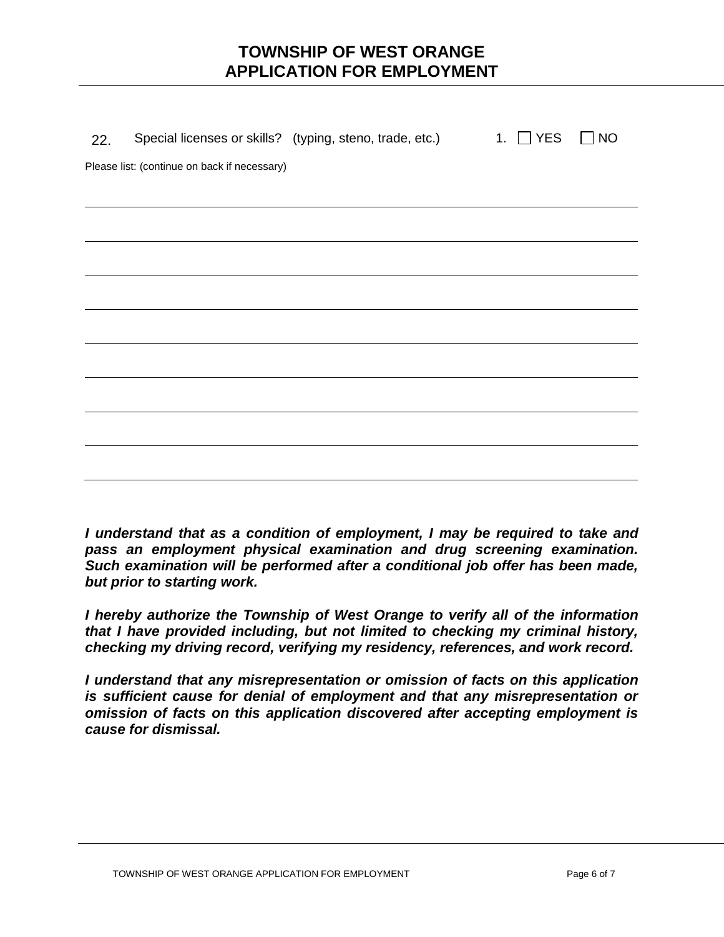| 22. |                                              | Special licenses or skills? (typing, steno, trade, etc.) 1. | $\Box$ YES | <b>NO</b> |
|-----|----------------------------------------------|-------------------------------------------------------------|------------|-----------|
|     | Please list: (continue on back if necessary) |                                                             |            |           |
|     |                                              |                                                             |            |           |
|     |                                              |                                                             |            |           |
|     |                                              |                                                             |            |           |
|     |                                              |                                                             |            |           |
|     |                                              |                                                             |            |           |
|     |                                              |                                                             |            |           |
|     |                                              |                                                             |            |           |
|     |                                              |                                                             |            |           |
|     |                                              |                                                             |            |           |
|     |                                              |                                                             |            |           |
|     |                                              |                                                             |            |           |
|     |                                              |                                                             |            |           |

*I understand that as a condition of employment, I may be required to take and pass an employment physical examination and drug screening examination. Such examination will be performed after a conditional job offer has been made, but prior to starting work.*

*I hereby authorize the Township of West Orange to verify all of the information that I have provided including, but not limited to checking my criminal history, checking my driving record, verifying my residency, references, and work record.*

*I understand that any misrepresentation or omission of facts on this application is sufficient cause for denial of employment and that any misrepresentation or omission of facts on this application discovered after accepting employment is cause for dismissal.*